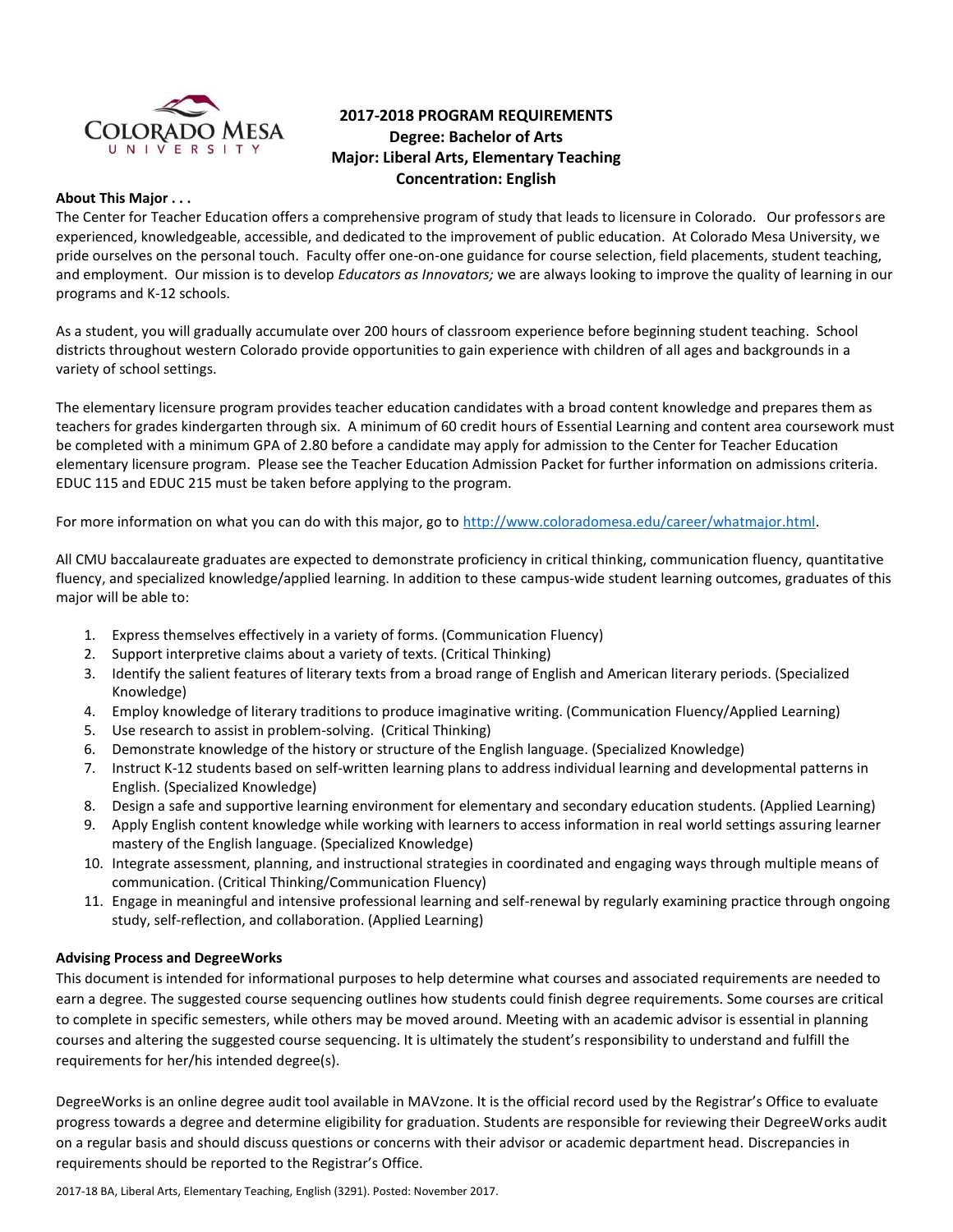

# **2017-2018 PROGRAM REQUIREMENTS Degree: Bachelor of Arts Major: Liberal Arts, Elementary Teaching Concentration: English**

### **About This Major . . .**

The Center for Teacher Education offers a comprehensive program of study that leads to licensure in Colorado. Our professors are experienced, knowledgeable, accessible, and dedicated to the improvement of public education. At Colorado Mesa University, we pride ourselves on the personal touch. Faculty offer one-on-one guidance for course selection, field placements, student teaching, and employment. Our mission is to develop *Educators as Innovators;* we are always looking to improve the quality of learning in our programs and K-12 schools.

As a student, you will gradually accumulate over 200 hours of classroom experience before beginning student teaching. School districts throughout western Colorado provide opportunities to gain experience with children of all ages and backgrounds in a variety of school settings.

The elementary licensure program provides teacher education candidates with a broad content knowledge and prepares them as teachers for grades kindergarten through six. A minimum of 60 credit hours of Essential Learning and content area coursework must be completed with a minimum GPA of 2.80 before a candidate may apply for admission to the Center for Teacher Education elementary licensure program. Please see the Teacher Education Admission Packet for further information on admissions criteria. EDUC 115 and EDUC 215 must be taken before applying to the program.

For more information on what you can do with this major, go to [http://www.coloradomesa.edu/career/whatmajor.html.](http://www.coloradomesa.edu/career/whatmajor.html)

All CMU baccalaureate graduates are expected to demonstrate proficiency in critical thinking, communication fluency, quantitative fluency, and specialized knowledge/applied learning. In addition to these campus-wide student learning outcomes, graduates of this major will be able to:

- 1. Express themselves effectively in a variety of forms. (Communication Fluency)
- 2. Support interpretive claims about a variety of texts. (Critical Thinking)
- 3. Identify the salient features of literary texts from a broad range of English and American literary periods. (Specialized Knowledge)
- 4. Employ knowledge of literary traditions to produce imaginative writing. (Communication Fluency/Applied Learning)
- 5. Use research to assist in problem-solving. (Critical Thinking)
- 6. Demonstrate knowledge of the history or structure of the English language. (Specialized Knowledge)
- 7. Instruct K-12 students based on self-written learning plans to address individual learning and developmental patterns in English. (Specialized Knowledge)
- 8. Design a safe and supportive learning environment for elementary and secondary education students. (Applied Learning)
- 9. Apply English content knowledge while working with learners to access information in real world settings assuring learner mastery of the English language. (Specialized Knowledge)
- 10. Integrate assessment, planning, and instructional strategies in coordinated and engaging ways through multiple means of communication. (Critical Thinking/Communication Fluency)
- 11. Engage in meaningful and intensive professional learning and self-renewal by regularly examining practice through ongoing study, self-reflection, and collaboration. (Applied Learning)

# **Advising Process and DegreeWorks**

This document is intended for informational purposes to help determine what courses and associated requirements are needed to earn a degree. The suggested course sequencing outlines how students could finish degree requirements. Some courses are critical to complete in specific semesters, while others may be moved around. Meeting with an academic advisor is essential in planning courses and altering the suggested course sequencing. It is ultimately the student's responsibility to understand and fulfill the requirements for her/his intended degree(s).

DegreeWorks is an online degree audit tool available in MAVzone. It is the official record used by the Registrar's Office to evaluate progress towards a degree and determine eligibility for graduation. Students are responsible for reviewing their DegreeWorks audit on a regular basis and should discuss questions or concerns with their advisor or academic department head. Discrepancies in requirements should be reported to the Registrar's Office.

2017-18 BA, Liberal Arts, Elementary Teaching, English (3291). Posted: November 2017.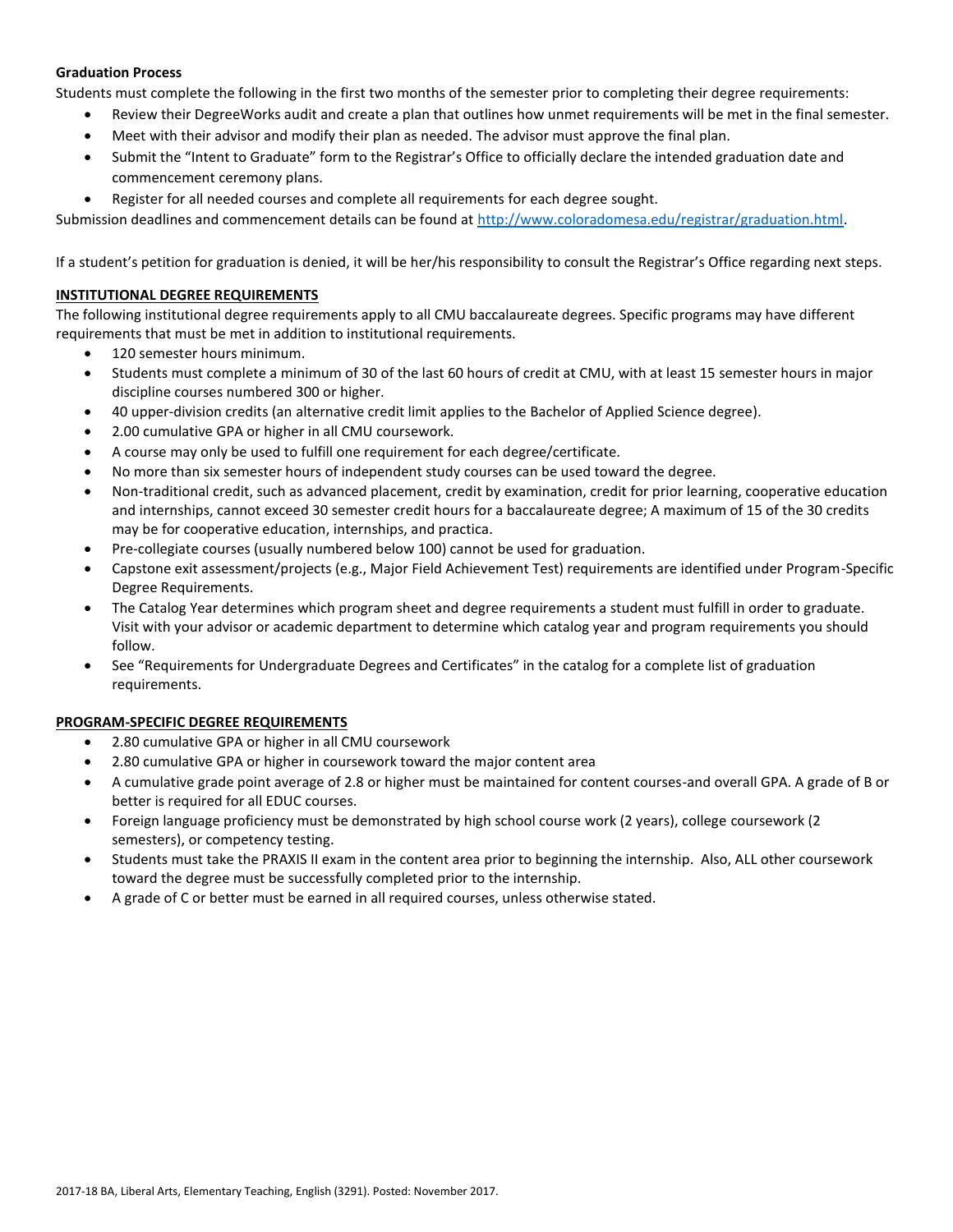### **Graduation Process**

Students must complete the following in the first two months of the semester prior to completing their degree requirements:

- Review their DegreeWorks audit and create a plan that outlines how unmet requirements will be met in the final semester.
- Meet with their advisor and modify their plan as needed. The advisor must approve the final plan.
- Submit the "Intent to Graduate" form to the Registrar's Office to officially declare the intended graduation date and commencement ceremony plans.
- Register for all needed courses and complete all requirements for each degree sought.

Submission deadlines and commencement details can be found at [http://www.coloradomesa.edu/registrar/graduation.html.](http://www.coloradomesa.edu/registrar/graduation.html)

If a student's petition for graduation is denied, it will be her/his responsibility to consult the Registrar's Office regarding next steps.

### **INSTITUTIONAL DEGREE REQUIREMENTS**

The following institutional degree requirements apply to all CMU baccalaureate degrees. Specific programs may have different requirements that must be met in addition to institutional requirements.

- 120 semester hours minimum.
- Students must complete a minimum of 30 of the last 60 hours of credit at CMU, with at least 15 semester hours in major discipline courses numbered 300 or higher.
- 40 upper-division credits (an alternative credit limit applies to the Bachelor of Applied Science degree).
- 2.00 cumulative GPA or higher in all CMU coursework.
- A course may only be used to fulfill one requirement for each degree/certificate.
- No more than six semester hours of independent study courses can be used toward the degree.
- Non-traditional credit, such as advanced placement, credit by examination, credit for prior learning, cooperative education and internships, cannot exceed 30 semester credit hours for a baccalaureate degree; A maximum of 15 of the 30 credits may be for cooperative education, internships, and practica.
- Pre-collegiate courses (usually numbered below 100) cannot be used for graduation.
- Capstone exit assessment/projects (e.g., Major Field Achievement Test) requirements are identified under Program-Specific Degree Requirements.
- The Catalog Year determines which program sheet and degree requirements a student must fulfill in order to graduate. Visit with your advisor or academic department to determine which catalog year and program requirements you should follow.
- See "Requirements for Undergraduate Degrees and Certificates" in the catalog for a complete list of graduation requirements.

# **PROGRAM-SPECIFIC DEGREE REQUIREMENTS**

- 2.80 cumulative GPA or higher in all CMU coursework
- 2.80 cumulative GPA or higher in coursework toward the major content area
- A cumulative grade point average of 2.8 or higher must be maintained for content courses-and overall GPA. A grade of B or better is required for all EDUC courses.
- Foreign language proficiency must be demonstrated by high school course work (2 years), college coursework (2 semesters), or competency testing.
- Students must take the PRAXIS II exam in the content area prior to beginning the internship. Also, ALL other coursework toward the degree must be successfully completed prior to the internship.
- A grade of C or better must be earned in all required courses, unless otherwise stated.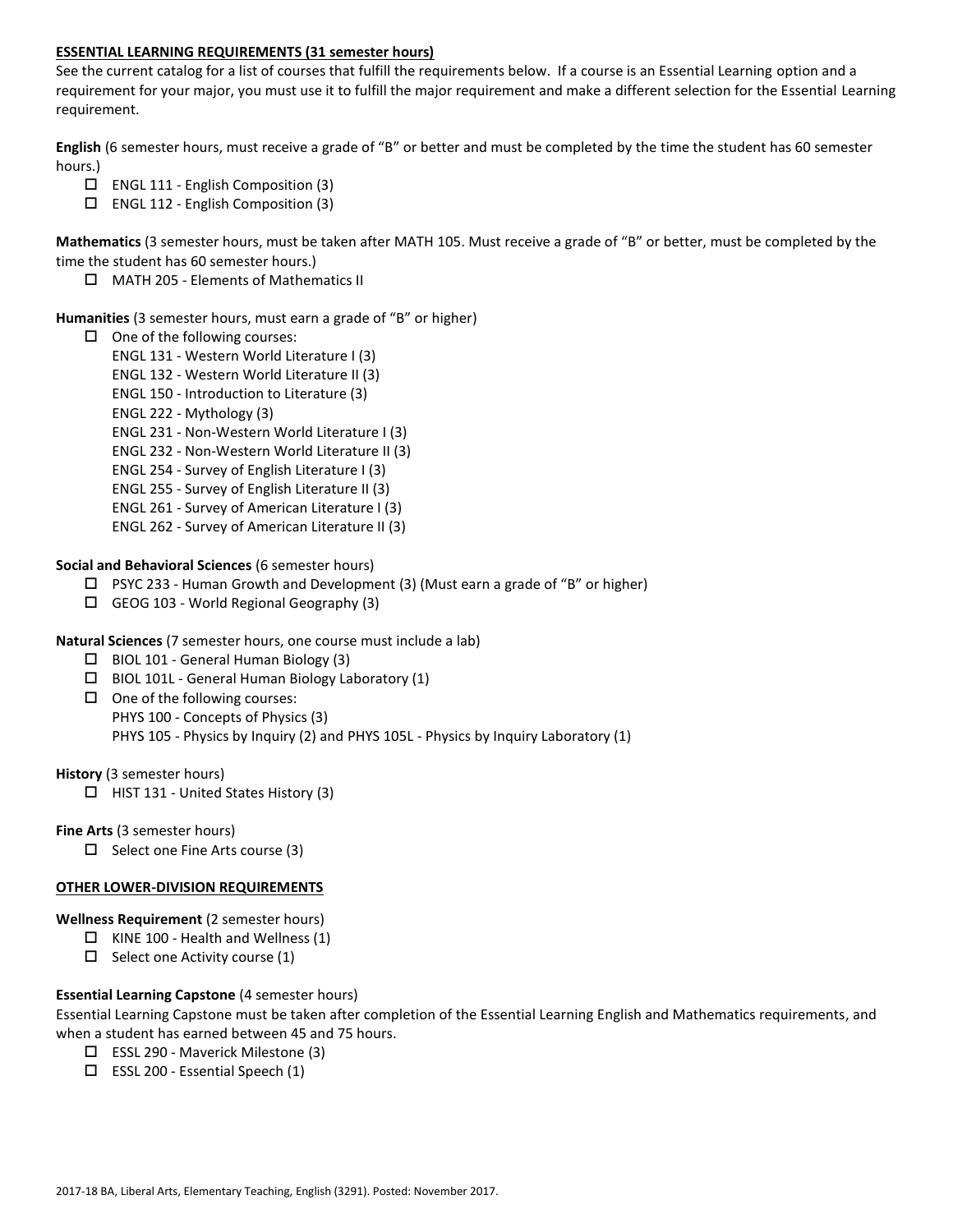### **ESSENTIAL LEARNING REQUIREMENTS (31 semester hours)**

See the current catalog for a list of courses that fulfill the requirements below. If a course is an Essential Learning option and a requirement for your major, you must use it to fulfill the major requirement and make a different selection for the Essential Learning requirement.

**English** (6 semester hours, must receive a grade of "B" or better and must be completed by the time the student has 60 semester hours.)

- $\Box$  ENGL 111 English Composition (3)
- ENGL 112 English Composition (3)

**Mathematics** (3 semester hours, must be taken after MATH 105. Must receive a grade of "B" or better, must be completed by the time the student has 60 semester hours.)

MATH 205 - Elements of Mathematics II

### **Humanities** (3 semester hours, must earn a grade of "B" or higher)

- $\Box$  One of the following courses:
	- ENGL 131 Western World Literature I (3)
	- ENGL 132 Western World Literature II (3)
	- ENGL 150 Introduction to Literature (3)
	- ENGL 222 Mythology (3)
	- ENGL 231 Non-Western World Literature I (3)
	- ENGL 232 Non-Western World Literature II (3)
	- ENGL 254 Survey of English Literature I (3)
	- ENGL 255 Survey of English Literature II (3)
	- ENGL 261 Survey of American Literature I (3)
	- ENGL 262 Survey of American Literature II (3)

**Social and Behavioral Sciences** (6 semester hours)

- $\Box$  PSYC 233 Human Growth and Development (3) (Must earn a grade of "B" or higher)
- $\Box$  GEOG 103 World Regional Geography (3)
- **Natural Sciences** (7 semester hours, one course must include a lab)
	- $\Box$  BIOL 101 General Human Biology (3)
	- BIOL 101L General Human Biology Laboratory (1)
	- $\Box$  One of the following courses: PHYS 100 - Concepts of Physics (3) PHYS 105 - Physics by Inquiry (2) and PHYS 105L - Physics by Inquiry Laboratory (1)

**History** (3 semester hours)

 $\Box$  HIST 131 - United States History (3)

**Fine Arts** (3 semester hours)

 $\Box$  Select one Fine Arts course (3)

#### **OTHER LOWER-DIVISION REQUIREMENTS**

**Wellness Requirement** (2 semester hours)

- $\Box$  KINE 100 Health and Wellness (1)
- $\Box$  Select one Activity course (1)

# **Essential Learning Capstone** (4 semester hours)

Essential Learning Capstone must be taken after completion of the Essential Learning English and Mathematics requirements, and when a student has earned between 45 and 75 hours.

- ESSL 290 Maverick Milestone (3)
- $\square$  ESSL 200 Essential Speech (1)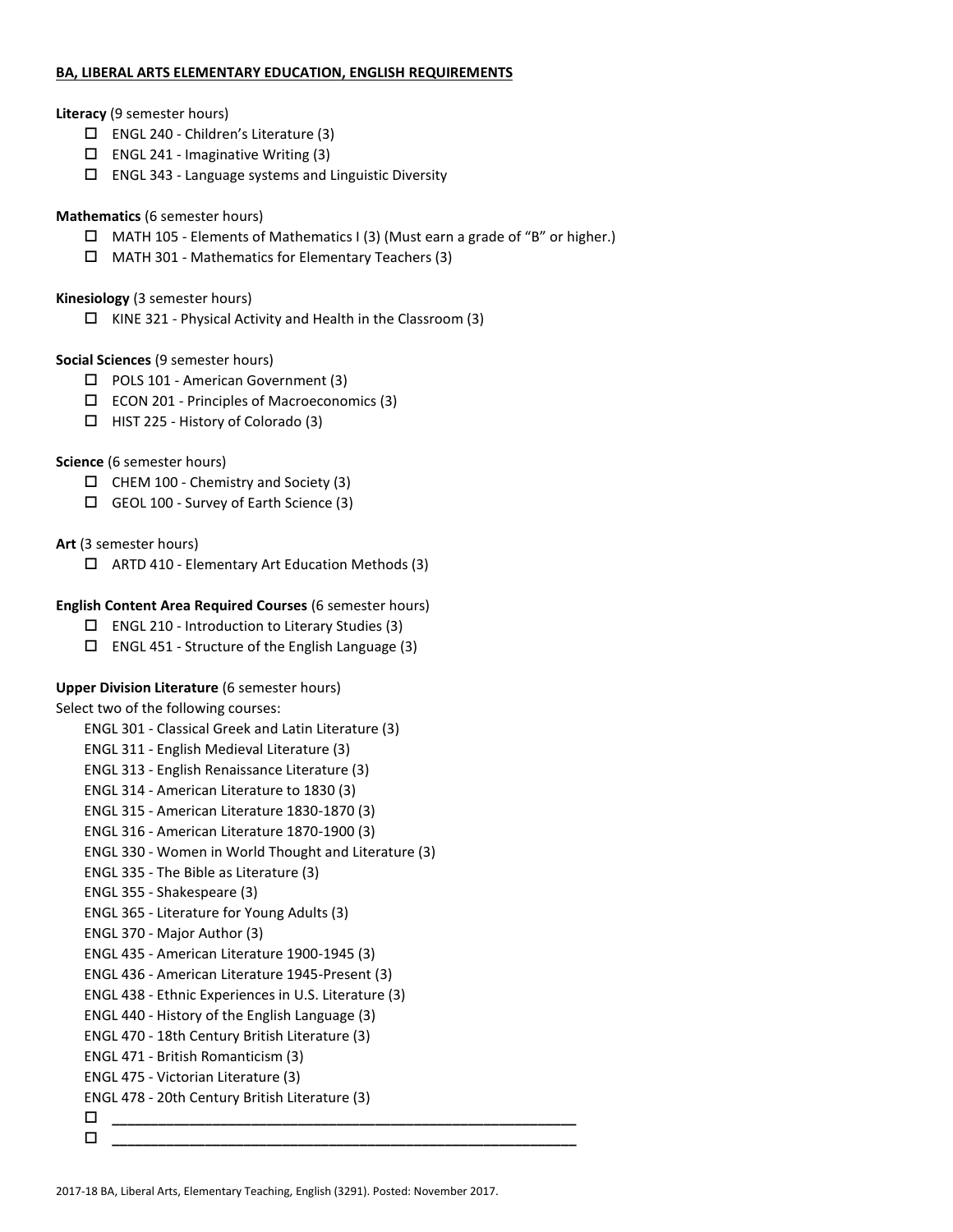### **BA, LIBERAL ARTS ELEMENTARY EDUCATION, ENGLISH REQUIREMENTS**

### **Literacy** (9 semester hours)

- ENGL 240 Children's Literature (3)
- $\square$  ENGL 241 Imaginative Writing (3)
- $\square$  ENGL 343 Language systems and Linguistic Diversity

# **Mathematics** (6 semester hours)

- $\Box$  MATH 105 Elements of Mathematics I (3) (Must earn a grade of "B" or higher.)
- MATH 301 Mathematics for Elementary Teachers (3)

# **Kinesiology** (3 semester hours)

 $\Box$  KINE 321 - Physical Activity and Health in the Classroom (3)

# **Social Sciences** (9 semester hours)

- □ POLS 101 American Government (3)
- ECON 201 Principles of Macroeconomics (3)
- $\Box$  HIST 225 History of Colorado (3)

# **Science** (6 semester hours)

- $\Box$  CHEM 100 Chemistry and Society (3)
- GEOL 100 Survey of Earth Science (3)

# **Art** (3 semester hours)

 $\Box$  ARTD 410 - Elementary Art Education Methods (3)

# **English Content Area Required Courses** (6 semester hours)

- $\square$  ENGL 210 Introduction to Literary Studies (3)
- $\square$  ENGL 451 Structure of the English Language (3)

# **Upper Division Literature** (6 semester hours)

Select two of the following courses:

- ENGL 301 Classical Greek and Latin Literature (3)
- ENGL 311 English Medieval Literature (3)
- ENGL 313 English Renaissance Literature (3)
- ENGL 314 American Literature to 1830 (3)
- ENGL 315 American Literature 1830-1870 (3)
- ENGL 316 American Literature 1870-1900 (3)
- ENGL 330 Women in World Thought and Literature (3)
- ENGL 335 The Bible as Literature (3)
- ENGL 355 Shakespeare (3)
- ENGL 365 Literature for Young Adults (3)
- ENGL 370 Major Author (3)
- ENGL 435 American Literature 1900-1945 (3)
- ENGL 436 American Literature 1945-Present (3)
- ENGL 438 Ethnic Experiences in U.S. Literature (3)
- ENGL 440 History of the English Language (3)
- ENGL 470 18th Century British Literature (3)
- ENGL 471 British Romanticism (3)
- ENGL 475 Victorian Literature (3)
- ENGL 478 20th Century British Literature (3)
- **\_\_\_\_\_\_\_\_\_\_\_\_\_\_\_\_\_\_\_\_\_\_\_\_\_\_\_\_\_\_\_\_\_\_\_\_\_\_\_\_\_\_\_\_\_\_\_\_\_\_\_\_\_\_\_\_\_\_\_\_ \_\_\_\_\_\_\_\_\_\_\_\_\_\_\_\_\_\_\_\_\_\_\_\_\_\_\_\_\_\_\_\_\_\_\_\_\_\_\_\_\_\_\_\_\_\_\_\_\_\_\_\_\_\_\_\_\_\_\_\_**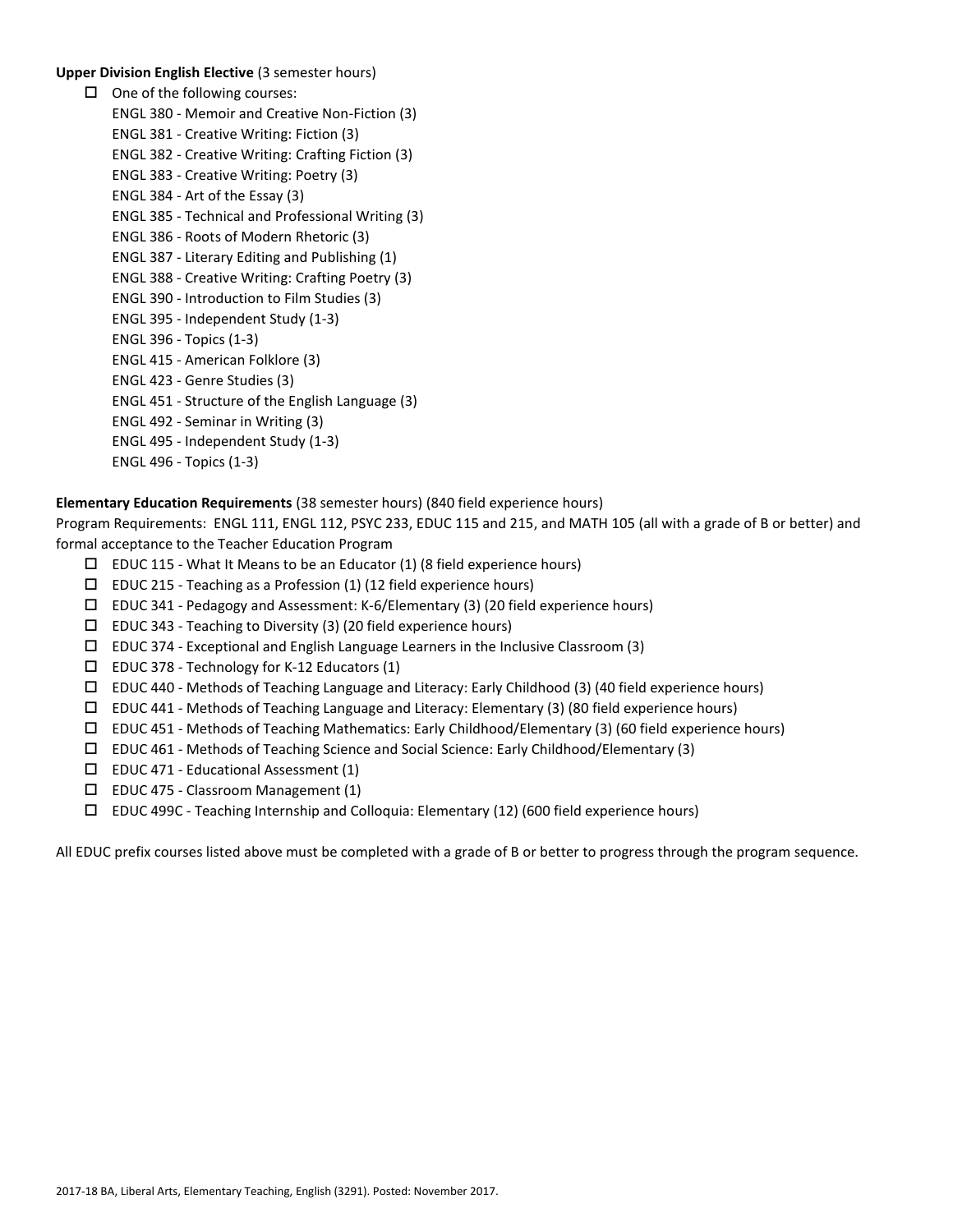### **Upper Division English Elective** (3 semester hours)

 $\Box$  One of the following courses: ENGL 380 - Memoir and Creative Non-Fiction (3) ENGL 381 - Creative Writing: Fiction (3) ENGL 382 - Creative Writing: Crafting Fiction (3) ENGL 383 - Creative Writing: Poetry (3) ENGL 384 - Art of the Essay (3) ENGL 385 - Technical and Professional Writing (3) ENGL 386 - Roots of Modern Rhetoric (3) ENGL 387 - Literary Editing and Publishing (1) ENGL 388 - Creative Writing: Crafting Poetry (3) ENGL 390 - Introduction to Film Studies (3) ENGL 395 - Independent Study (1-3) ENGL 396 - Topics (1-3) ENGL 415 - American Folklore (3) ENGL 423 - Genre Studies (3) ENGL 451 - Structure of the English Language (3) ENGL 492 - Seminar in Writing (3) ENGL 495 - Independent Study (1-3) ENGL 496 - Topics (1-3)

**Elementary Education Requirements** (38 semester hours) (840 field experience hours)

Program Requirements: ENGL 111, ENGL 112, PSYC 233, EDUC 115 and 215, and MATH 105 (all with a grade of B or better) and formal acceptance to the Teacher Education Program

- $\square$  EDUC 115 What It Means to be an Educator (1) (8 field experience hours)
- $\square$  EDUC 215 Teaching as a Profession (1) (12 field experience hours)
- EDUC 341 Pedagogy and Assessment: K-6/Elementary (3) (20 field experience hours)
- $\square$  EDUC 343 Teaching to Diversity (3) (20 field experience hours)
- $\Box$  EDUC 374 Exceptional and English Language Learners in the Inclusive Classroom (3)
- EDUC 378 Technology for K-12 Educators (1)
- $\Box$  EDUC 440 Methods of Teaching Language and Literacy: Early Childhood (3) (40 field experience hours)
- $\square$  EDUC 441 Methods of Teaching Language and Literacy: Elementary (3) (80 field experience hours)
- $\Box$  EDUC 451 Methods of Teaching Mathematics: Early Childhood/Elementary (3) (60 field experience hours)
- EDUC 461 Methods of Teaching Science and Social Science: Early Childhood/Elementary (3)
- $\square$  EDUC 471 Educational Assessment (1)
- $\square$  EDUC 475 Classroom Management (1)
- EDUC 499C Teaching Internship and Colloquia: Elementary (12) (600 field experience hours)

All EDUC prefix courses listed above must be completed with a grade of B or better to progress through the program sequence.